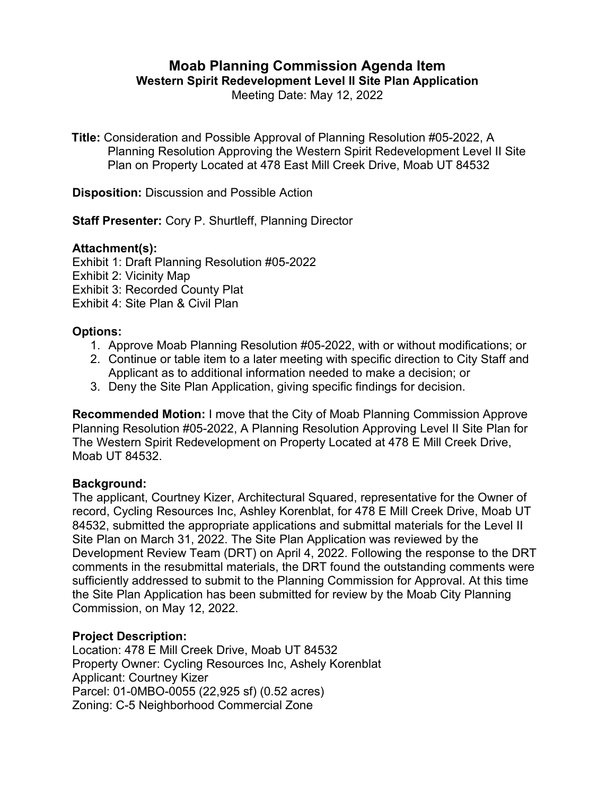# **Moab Planning Commission Agenda Item**

**Western Spirit Redevelopment Level II Site Plan Application**

Meeting Date: May 12, 2022

**Title:** Consideration and Possible Approval of Planning Resolution #05-2022, A Planning Resolution Approving the Western Spirit Redevelopment Level II Site Plan on Property Located at 478 East Mill Creek Drive, Moab UT 84532

**Disposition:** Discussion and Possible Action

**Staff Presenter:** Cory P. Shurtleff, Planning Director

### **Attachment(s):**

Exhibit 1: Draft Planning Resolution #05-2022

Exhibit 2: Vicinity Map

Exhibit 3: Recorded County Plat

Exhibit 4: Site Plan & Civil Plan

### **Options:**

- 1. Approve Moab Planning Resolution #05-2022, with or without modifications; or
- 2. Continue or table item to a later meeting with specific direction to City Staff and Applicant as to additional information needed to make a decision; or
- 3. Deny the Site Plan Application, giving specific findings for decision.

**Recommended Motion:** I move that the City of Moab Planning Commission Approve Planning Resolution #05-2022, A Planning Resolution Approving Level II Site Plan for The Western Spirit Redevelopment on Property Located at 478 E Mill Creek Drive, Moab UT 84532.

### **Background:**

The applicant, Courtney Kizer, Architectural Squared, representative for the Owner of record, Cycling Resources Inc, Ashley Korenblat, for 478 E Mill Creek Drive, Moab UT 84532, submitted the appropriate applications and submittal materials for the Level II Site Plan on March 31, 2022. The Site Plan Application was reviewed by the Development Review Team (DRT) on April 4, 2022. Following the response to the DRT comments in the resubmittal materials, the DRT found the outstanding comments were sufficiently addressed to submit to the Planning Commission for Approval. At this time the Site Plan Application has been submitted for review by the Moab City Planning Commission, on May 12, 2022.

## **Project Description:**

Location: 478 E Mill Creek Drive, Moab UT 84532 Property Owner: Cycling Resources Inc, Ashely Korenblat Applicant: Courtney Kizer Parcel: 01-0MBO-0055 (22,925 sf) (0.52 acres) Zoning: C-5 Neighborhood Commercial Zone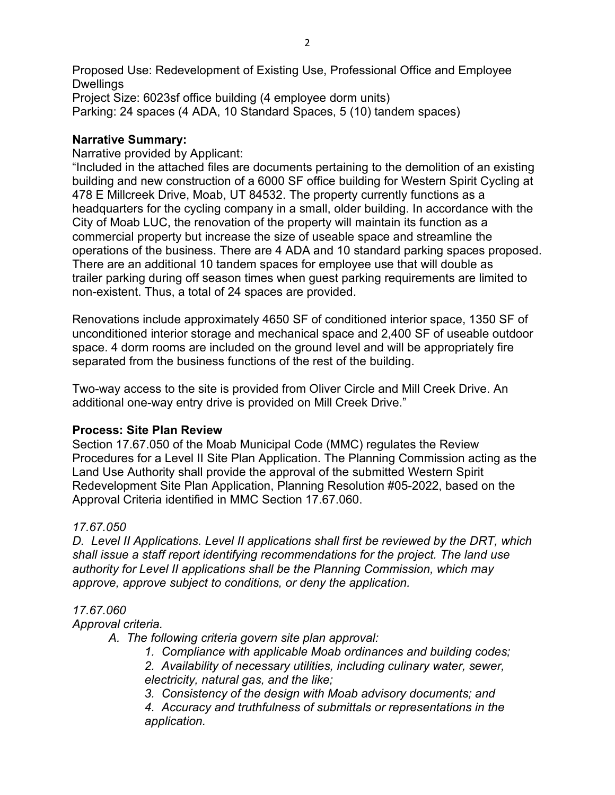Proposed Use: Redevelopment of Existing Use, Professional Office and Employee **Dwellings** Project Size: 6023sf office building (4 employee dorm units) Parking: 24 spaces (4 ADA, 10 Standard Spaces, 5 (10) tandem spaces)

#### **Narrative Summary:**

Narrative provided by Applicant:

"Included in the attached files are documents pertaining to the demolition of an existing building and new construction of a 6000 SF office building for Western Spirit Cycling at 478 E Millcreek Drive, Moab, UT 84532. The property currently functions as a headquarters for the cycling company in a small, older building. In accordance with the City of Moab LUC, the renovation of the property will maintain its function as a commercial property but increase the size of useable space and streamline the operations of the business. There are 4 ADA and 10 standard parking spaces proposed. There are an additional 10 tandem spaces for employee use that will double as trailer parking during off season times when guest parking requirements are limited to non-existent. Thus, a total of 24 spaces are provided.

Renovations include approximately 4650 SF of conditioned interior space, 1350 SF of unconditioned interior storage and mechanical space and 2,400 SF of useable outdoor space. 4 dorm rooms are included on the ground level and will be appropriately fire separated from the business functions of the rest of the building.

Two-way access to the site is provided from Oliver Circle and Mill Creek Drive. An additional one-way entry drive is provided on Mill Creek Drive."

### **Process: Site Plan Review**

Section 17.67.050 of the Moab Municipal Code (MMC) regulates the Review Procedures for a Level II Site Plan Application. The Planning Commission acting as the Land Use Authority shall provide the approval of the submitted Western Spirit Redevelopment Site Plan Application, Planning Resolution #05-2022, based on the Approval Criteria identified in MMC Section 17.67.060.

### *17.67.050*

*D. Level II Applications. Level II applications shall first be reviewed by the DRT, which shall issue a staff report identifying recommendations for the project. The land use authority for Level II applications shall be the Planning Commission, which may approve, approve subject to conditions, or deny the application.*

#### *17.67.060*

*Approval criteria.*

- *A. The following criteria govern site plan approval:*
	- *1. Compliance with applicable Moab ordinances and building codes;*
	- *2. Availability of necessary utilities, including culinary water, sewer, electricity, natural gas, and the like;*
	- *3. Consistency of the design with Moab advisory documents; and*

*4. Accuracy and truthfulness of submittals or representations in the application.*